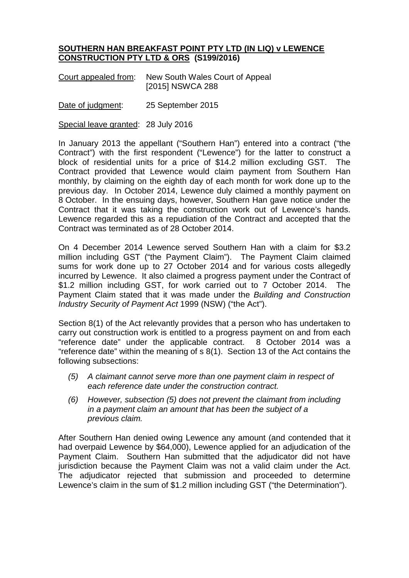## **SOUTHERN HAN BREAKFAST POINT PTY LTD (IN LIQ) v LEWENCE CONSTRUCTION PTY LTD & ORS (S199/2016)**

| Court appealed from: | New South Wales Court of Appeal |
|----------------------|---------------------------------|
|                      | [2015] NSWCA 288                |

Date of judgment: 25 September 2015

Special leave granted: 28 July 2016

In January 2013 the appellant ("Southern Han") entered into a contract ("the Contract") with the first respondent ("Lewence") for the latter to construct a block of residential units for a price of \$14.2 million excluding GST. The Contract provided that Lewence would claim payment from Southern Han monthly, by claiming on the eighth day of each month for work done up to the previous day. In October 2014, Lewence duly claimed a monthly payment on 8 October. In the ensuing days, however, Southern Han gave notice under the Contract that it was taking the construction work out of Lewence's hands. Lewence regarded this as a repudiation of the Contract and accepted that the Contract was terminated as of 28 October 2014.

On 4 December 2014 Lewence served Southern Han with a claim for \$3.2 million including GST ("the Payment Claim"). The Payment Claim claimed sums for work done up to 27 October 2014 and for various costs allegedly incurred by Lewence. It also claimed a progress payment under the Contract of \$1.2 million including GST, for work carried out to 7 October 2014. The Payment Claim stated that it was made under the *Building and Construction Industry Security of Payment Act* 1999 (NSW) ("the Act").

Section 8(1) of the Act relevantly provides that a person who has undertaken to carry out construction work is entitled to a progress payment on and from each "reference date" under the applicable contract. 8 October 2014 was a "reference date" within the meaning of s 8(1). Section 13 of the Act contains the following subsections:

- *(5) A claimant cannot serve more than one payment claim in respect of each reference date under the construction contract.*
- *(6) However, subsection (5) does not prevent the claimant from including in a payment claim an amount that has been the subject of a previous claim.*

After Southern Han denied owing Lewence any amount (and contended that it had overpaid Lewence by \$64,000), Lewence applied for an adjudication of the Payment Claim. Southern Han submitted that the adjudicator did not have jurisdiction because the Payment Claim was not a valid claim under the Act. The adjudicator rejected that submission and proceeded to determine Lewence's claim in the sum of \$1.2 million including GST ("the Determination").